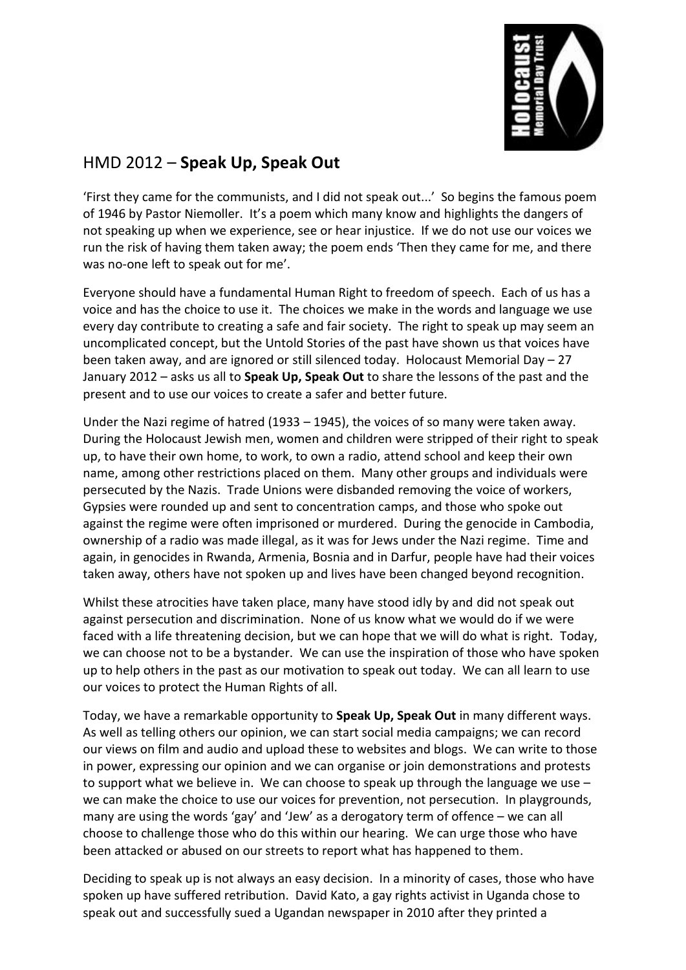

## HMD 2012 – **Speak Up, Speak Out**

'First they came for the communists, and I did not speak out...' So begins the famous poem of 1946 by Pastor Niemoller. It's a poem which many know and highlights the dangers of not speaking up when we experience, see or hear injustice. If we do not use our voices we run the risk of having them taken away; the poem ends 'Then they came for me, and there was no-one left to speak out for me'.

Everyone should have a fundamental Human Right to freedom of speech. Each of us has a voice and has the choice to use it. The choices we make in the words and language we use every day contribute to creating a safe and fair society. The right to speak up may seem an uncomplicated concept, but the Untold Stories of the past have shown us that voices have been taken away, and are ignored or still silenced today. Holocaust Memorial Day – 27 January 2012 – asks us all to **Speak Up, Speak Out** to share the lessons of the past and the present and to use our voices to create a safer and better future.

Under the Nazi regime of hatred (1933 – 1945), the voices of so many were taken away. During the Holocaust Jewish men, women and children were stripped of their right to speak up, to have their own home, to work, to own a radio, attend school and keep their own name, among other restrictions placed on them. Many other groups and individuals were persecuted by the Nazis. Trade Unions were disbanded removing the voice of workers, Gypsies were rounded up and sent to concentration camps, and those who spoke out against the regime were often imprisoned or murdered. During the genocide in Cambodia, ownership of a radio was made illegal, as it was for Jews under the Nazi regime. Time and again, in genocides in Rwanda, Armenia, Bosnia and in Darfur, people have had their voices taken away, others have not spoken up and lives have been changed beyond recognition.

Whilst these atrocities have taken place, many have stood idly by and did not speak out against persecution and discrimination. None of us know what we would do if we were faced with a life threatening decision, but we can hope that we will do what is right. Today, we can choose not to be a bystander. We can use the inspiration of those who have spoken up to help others in the past as our motivation to speak out today. We can all learn to use our voices to protect the Human Rights of all.

Today, we have a remarkable opportunity to **Speak Up, Speak Out** in many different ways. As well as telling others our opinion, we can start social media campaigns; we can record our views on film and audio and upload these to websites and blogs. We can write to those in power, expressing our opinion and we can organise or join demonstrations and protests to support what we believe in. We can choose to speak up through the language we use – we can make the choice to use our voices for prevention, not persecution. In playgrounds, many are using the words 'gay' and 'Jew' as a derogatory term of offence – we can all choose to challenge those who do this within our hearing. We can urge those who have been attacked or abused on our streets to report what has happened to them.

Deciding to speak up is not always an easy decision. In a minority of cases, those who have spoken up have suffered retribution. David Kato, a gay rights activist in Uganda chose to speak out and successfully sued a Ugandan newspaper in 2010 after they printed a